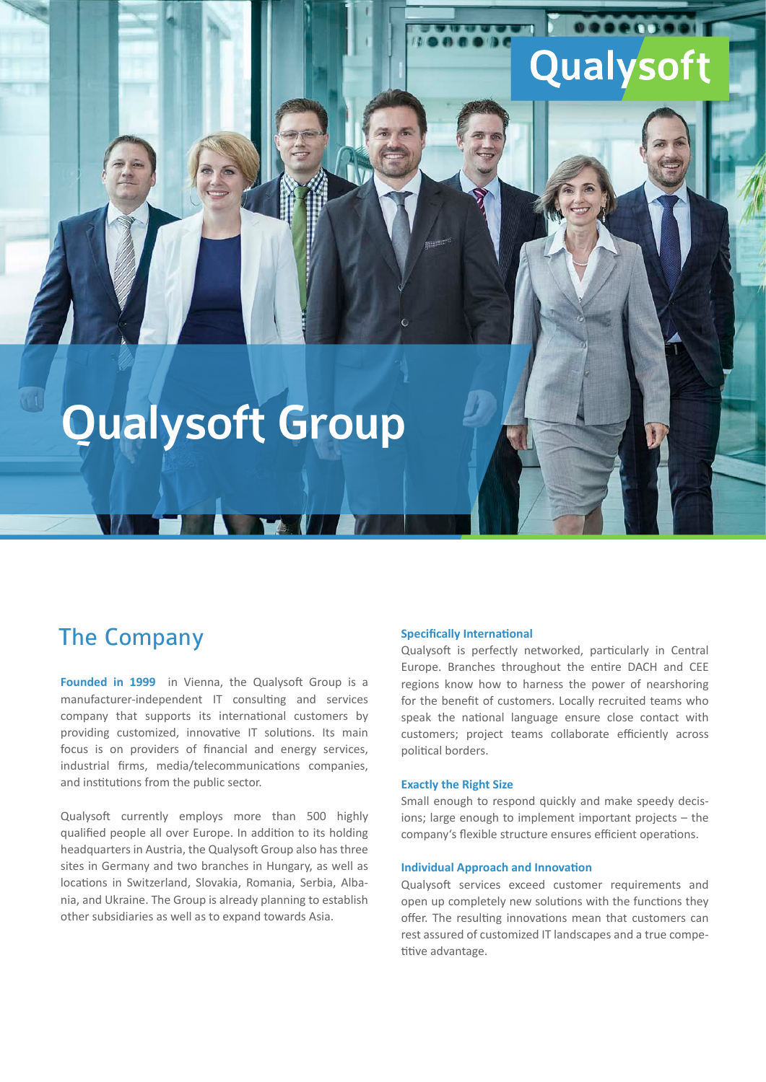# Qualysoft

000

# Qualysoft Group

### The Company

**Founded in 1999** in Vienna, the Qualysoft Group is a manufacturer-independent IT consulting and services company that supports its international customers by providing customized, innovative IT solutions. Its main focus is on providers of financial and energy services, industrial firms, media/telecommunications companies, and institutions from the public sector.

Qualysoft currently employs more than 500 highly qualified people all over Europe. In addition to its holding headquarters in Austria, the Qualysoft Group also has three sites in Germany and two branches in Hungary, as well as locations in Switzerland, Slovakia, Romania, Serbia, Albania, and Ukraine. The Group is already planning to establish other subsidiaries as well as to expand towards Asia.

#### **Specifically International**

Qualysoft is perfectly networked, particularly in Central Europe. Branches throughout the entire DACH and CEE regions know how to harness the power of nearshoring for the benefit of customers. Locally recruited teams who speak the national language ensure close contact with customers; project teams collaborate efficiently across political borders.

#### **Exactly the Right Size**

Small enough to respond quickly and make speedy decisions; large enough to implement important projects – the company's flexible structure ensures efficient operations.

#### **Individual Approach and Innovation**

Qualysoft services exceed customer requirements and open up completely new solutions with the functions they offer. The resulting innovations mean that customers can rest assured of customized IT landscapes and a true competitive advantage.